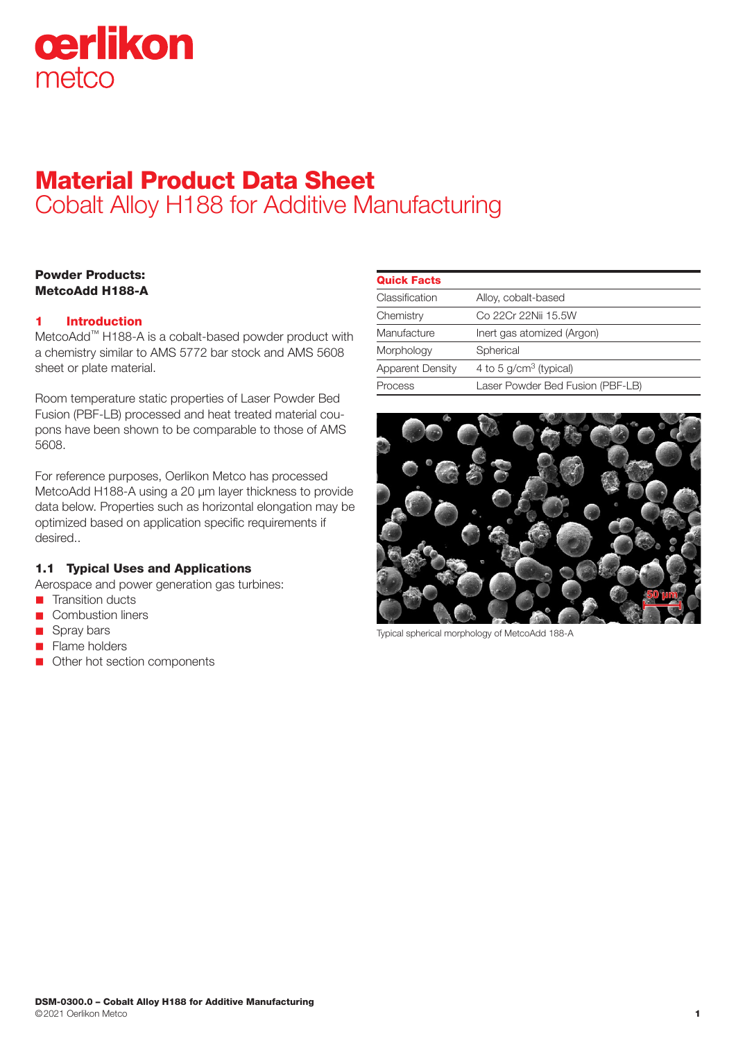

# Material Product Data Sheet Cobalt Alloy H188 for Additive Manufacturing

# Powder Products: MetcoAdd H188-A

# 1 Introduction

MetcoAdd™ H188-A is a cobalt-based powder product with a chemistry similar to AMS 5772 bar stock and AMS 5608 sheet or plate material.

Room temperature static properties of Laser Powder Bed Fusion (PBF-LB) processed and heat treated material coupons have been shown to be comparable to those of AMS 5608.

For reference purposes, Oerlikon Metco has processed MetcoAdd H188-A using a 20 μm layer thickness to provide data below. Properties such as horizontal elongation may be optimized based on application specific requirements if desired..

# 1.1 Typical Uses and Applications

Aerospace and power generation gas turbines:

- n Transition ducts
- **n** Combustion liners
- Spray bars
- **n** Flame holders
- Other hot section components

| <b>Quick Facts</b>      |                                  |
|-------------------------|----------------------------------|
| Classification          | Alloy, cobalt-based              |
| Chemistry               | Co 22Cr 22Nii 15.5W              |
| Manufacture             | Inert gas atomized (Argon)       |
| Morphology              | Spherical                        |
| <b>Apparent Density</b> | 4 to 5 $g/cm3$ (typical)         |
| Process                 | Laser Powder Bed Fusion (PBF-LB) |



Typical spherical morphology of MetcoAdd 188-A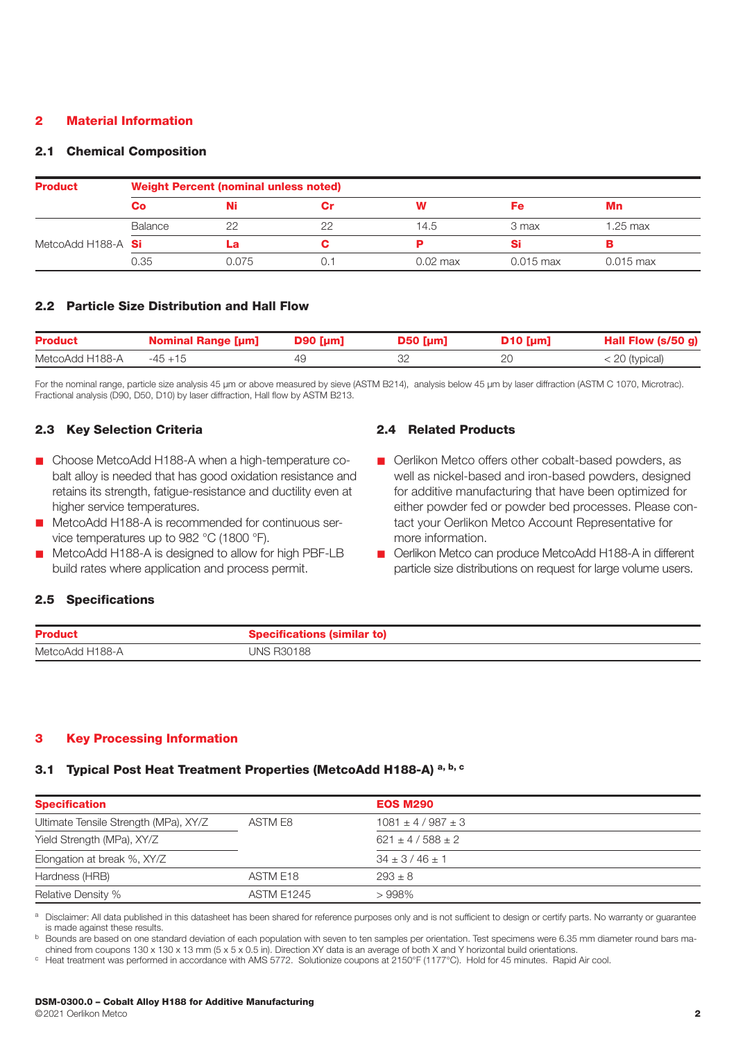## 2 Material Information

#### 2.1 Chemical Composition

| <b>Product</b>     | <b>Weight Percent (nominal unless noted)</b> |       |    |            |             |             |
|--------------------|----------------------------------------------|-------|----|------------|-------------|-------------|
|                    | Co                                           |       |    | W          | Fe          | Mn          |
|                    | Balance                                      | 22    | 22 | 14.5       | 3 max       | 1.25 max    |
| MetcoAdd H188-A Si |                                              | La    |    |            | Si          |             |
|                    | 0.35                                         | 0.075 |    | $0.02$ max | $0.015$ max | $0.015$ max |

# 2.2 Particle Size Distribution and Hall Flow

| <b>Product</b>  | <b>Nominal Range [µm]</b> | $D90$ [µm] | $D50$ [µm] | $D10$ [µm] | Hall Flow (s/50 g) |
|-----------------|---------------------------|------------|------------|------------|--------------------|
| MetcoAdd H188-A | -45 +15                   |            |            |            | $<$ 20 (typical)   |

For the nominal range, particle size analysis 45 µm or above measured by sieve (ASTM B214), analysis below 45 µm by laser diffraction (ASTM C 1070, Microtrac). Fractional analysis (D90, D50, D10) by laser diffraction, Hall flow by ASTM B213.

### 2.3 Key Selection Criteria

- Choose MetcoAdd H188-A when a high-temperature cobalt alloy is needed that has good oxidation resistance and retains its strength, fatigue-resistance and ductility even at higher service temperatures.
- MetcoAdd H188-A is recommended for continuous service temperatures up to 982 °C (1800 °F).
- MetcoAdd H188-A is designed to allow for high PBF-LB build rates where application and process permit.

## 2.4 Related Products

- $\blacksquare$  Oerlikon Metco offers other cobalt-based powders, as well as nickel-based and iron-based powders, designed for additive manufacturing that have been optimized for either powder fed or powder bed processes. Please contact your Oerlikon Metco Account Representative for more information.
- Oerlikon Metco can produce MetcoAdd H188-A in different particle size distributions on request for large volume users.

## 2.5 Specifications

| <b>Product</b>  |                   |
|-----------------|-------------------|
| MetcoAdd H188-A | <b>JNS R30188</b> |

#### 3 Key Processing Information

# 3.1 Typical Post Heat Treatment Properties (MetcoAdd H188-A) a, b, c

| <b>Specification</b>                  |                   | <b>EOS M290</b>         |  |
|---------------------------------------|-------------------|-------------------------|--|
| Ultimate Tensile Strength (MPa), XY/Z | ASTM E8           | $1081 \pm 4/987 \pm 3$  |  |
| Yield Strength (MPa), XY/Z            |                   | $621 \pm 4 / 588 \pm 2$ |  |
| Elongation at break %, XY/Z           |                   | $34 \pm 3/46 \pm 1$     |  |
| Hardness (HRB)                        | ASTM E18          | $293 \pm 8$             |  |
| <b>Relative Density %</b>             | <b>ASTM E1245</b> | >998%                   |  |

Disclaimer: All data published in this datasheet has been shared for reference purposes only and is not sufficient to design or certify parts. No warranty or quarantee is made against these results.

<sup>b</sup> Bounds are based on one standard deviation of each population with seven to ten samples per orientation. Test specimens were 6.35 mm diameter round bars ma-

chined from coupons 130 x 130 x 13 mm (5 x 5 x 0.5 in). Direction XY data is an average of both X and Y horizontal build orientations.<br>
C Heat treatment was performed in accordance with AMS 5772. Solutionize coupons at 21